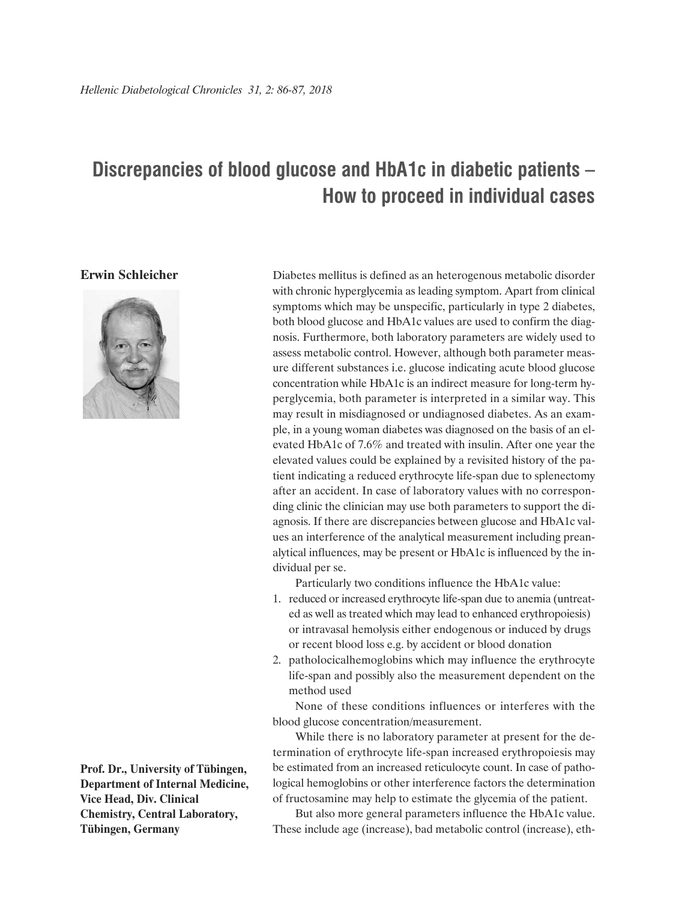## **Discrepancies of blood glucose and HbA1c in diabetic patients – How to proceed in individual cases**

**Erwin Schleicher**



method used

Diabetes mellitus is defined as an heterogenous metabolic disorder with chronic hyperglycemia as leading symptom. Apart from clinical symptoms which may be unspecific, particularly in type 2 diabetes, both blood glucose and HbA1c values are used to confirm the diagnosis. Furthermore, both laboratory parameters are widely used to assess metabolic control. However, although both parameter measure different substances i.e. glucose indicating acute blood glucose concentration while HbA1c is an indirect measure for long-term hyperglycemia, both parameter is interpreted in a similar way. This may result in misdiagnosed or undiagnosed diabetes. As an example, in a young woman diabetes was diagnosed on the basis of an elevated HbA1c of 7.6% and treated with insulin. After one year the elevated values could be explained by a revisited history of the patient indicating a reduced erythrocyte life-span due to splenectomy after an accident. In case of laboratory values with no corresponding clinic the clinician may use both parameters to support the diagnosis. If there are discrepancies between glucose and HbA1c values an interference of the analytical measurement including preanalytical influences, may be present or HbA1c is influenced by the individual per se.

Particularly two conditions influence the HbA1c value:

- 1. reduced or increased erythrocyte life-span due to anemia (untreated as well as treated which may lead to enhanced erythropoiesis) or intravasal hemolysis either endogenous or induced by drugs or recent blood loss e.g. by accident or blood donation
- 2. patholocicalhemoglobins which may influence the erythrocyte life-span and possibly also the measurement dependent on the

None of these conditions influences or interferes with the blood glucose concentration/measurement.

While there is no laboratory parameter at present for the determination of erythrocyte life-span increased erythropoiesis may be estimated from an increased reticulocyte count. In case of pathological hemoglobins or other interference factors the determination of fructosamine may help to estimate the glycemia of the patient.

But also more general parameters influence the HbA1c value. These include age (increase), bad metabolic control (increase), eth-

**Prof. Dr., University of Tübingen, Department of Internal Medicine, Vice Head, Div. Clinical Chemistry, Central Laboratory, Tübingen, Germany**